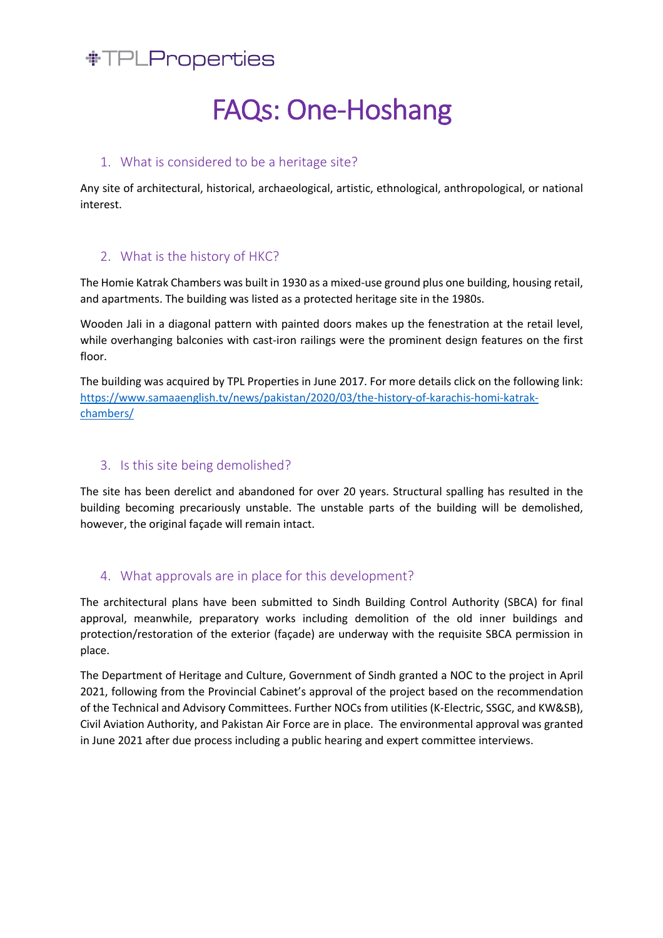# *NTPLProperties*

# FAQs: One-Hoshang

## 1. What is considered to be a heritage site?

Any site of architectural, historical, archaeological, artistic, ethnological, anthropological, or national interest.

## 2. What is the history of HKC?

The Homie Katrak Chambers was built in 1930 as a mixed-use ground plus one building, housing retail, and apartments. The building was listed as a protected heritage site in the 1980s.

Wooden Jali in a diagonal pattern with painted doors makes up the fenestration at the retail level, while overhanging balconies with cast-iron railings were the prominent design features on the first floor.

The building was acquired by TPL Properties in June 2017. For more details click on the following link: https://www.samaaenglish.tv/news/pakistan/2020/03/the-history-of-karachis-homi-katrakchambers/

### 3. Is this site being demolished?

The site has been derelict and abandoned for over 20 years. Structural spalling has resulted in the building becoming precariously unstable. The unstable parts of the building will be demolished, however, the original façade will remain intact.

# 4. What approvals are in place for this development?

The architectural plans have been submitted to Sindh Building Control Authority (SBCA) for final approval, meanwhile, preparatory works including demolition of the old inner buildings and protection/restoration of the exterior (façade) are underway with the requisite SBCA permission in place.

The Department of Heritage and Culture, Government of Sindh granted a NOC to the project in April 2021, following from the Provincial Cabinet's approval of the project based on the recommendation of the Technical and Advisory Committees. Further NOCs from utilities (K-Electric, SSGC, and KW&SB), Civil Aviation Authority, and Pakistan Air Force are in place. The environmental approval was granted in June 2021 after due process including a public hearing and expert committee interviews.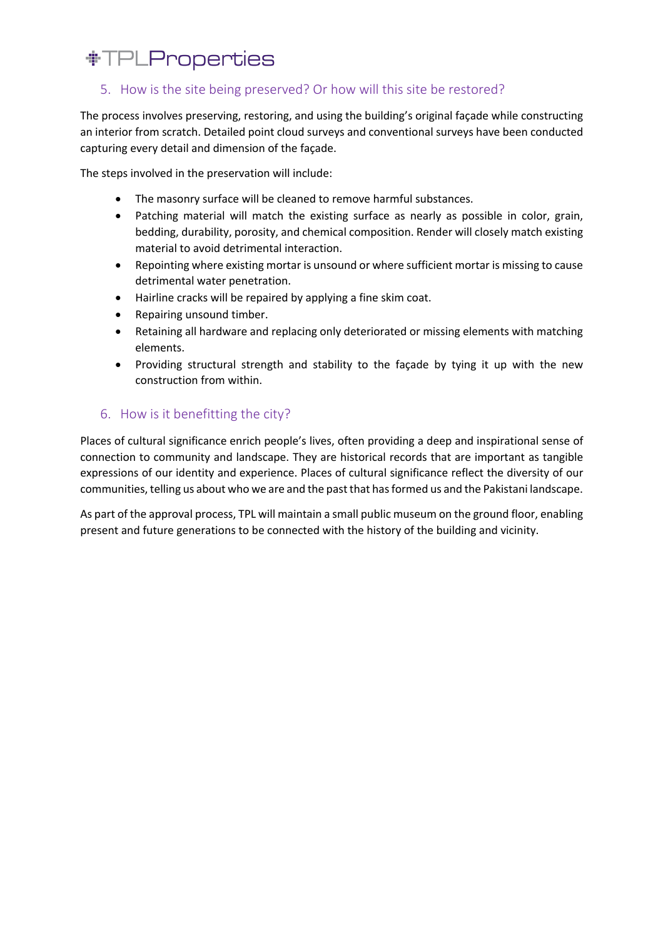# *\*TPLProperties*

## 5. How is the site being preserved? Or how will this site be restored?

The process involves preserving, restoring, and using the building's original façade while constructing an interior from scratch. Detailed point cloud surveys and conventional surveys have been conducted capturing every detail and dimension of the façade.

The steps involved in the preservation will include:

- The masonry surface will be cleaned to remove harmful substances.
- Patching material will match the existing surface as nearly as possible in color, grain, bedding, durability, porosity, and chemical composition. Render will closely match existing material to avoid detrimental interaction.
- Repointing where existing mortar is unsound or where sufficient mortar is missing to cause detrimental water penetration.
- Hairline cracks will be repaired by applying a fine skim coat.
- Repairing unsound timber.
- Retaining all hardware and replacing only deteriorated or missing elements with matching elements.
- Providing structural strength and stability to the façade by tying it up with the new construction from within.

#### 6. How is it benefitting the city?

Places of cultural significance enrich people's lives, often providing a deep and inspirational sense of connection to community and landscape. They are historical records that are important as tangible expressions of our identity and experience. Places of cultural significance reflect the diversity of our communities, telling us about who we are and the past that has formed us and the Pakistani landscape.

As part of the approval process, TPL will maintain a small public museum on the ground floor, enabling present and future generations to be connected with the history of the building and vicinity.